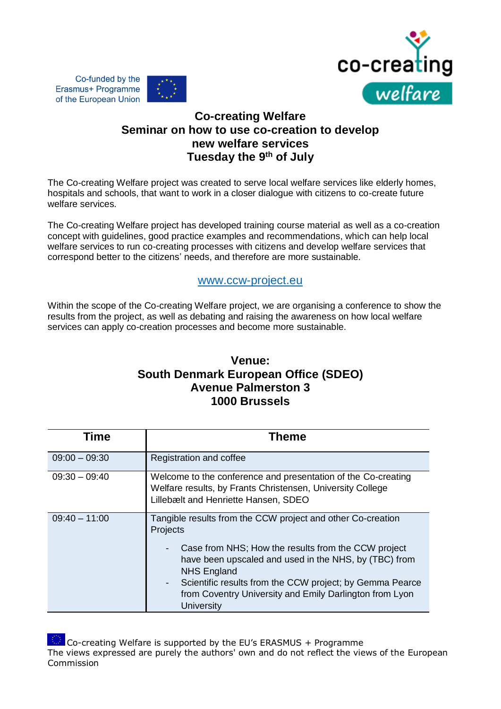

## **Co-creating Welfare Seminar on how to use co-creation to develop new welfare services Tuesday the 9th of July**

Co-funded by the

Erasmus+ Programme of the European Union

The Co-creating Welfare project was created to serve local welfare services like elderly homes, hospitals and schools, that want to work in a closer dialogue with citizens to co-create future welfare services.

The Co-creating Welfare project has developed training course material as well as a co-creation concept with guidelines, good practice examples and recommendations, which can help local welfare services to run co-creating processes with citizens and develop welfare services that correspond better to the citizens' needs, and therefore are more sustainable.

## www.ccw-project.eu

Within the scope of the Co-creating Welfare project, we are organising a conference to show the results from the project, as well as debating and raising the awareness on how local welfare services can apply co-creation processes and become more sustainable.

## **Venue: South Denmark European Office (SDEO) Avenue Palmerston 3 1000 Brussels**

| Time            | Theme                                                                                                                                                                                                                                                                                                                                                                                 |
|-----------------|---------------------------------------------------------------------------------------------------------------------------------------------------------------------------------------------------------------------------------------------------------------------------------------------------------------------------------------------------------------------------------------|
| $09:00 - 09:30$ | Registration and coffee                                                                                                                                                                                                                                                                                                                                                               |
| $09:30 - 09:40$ | Welcome to the conference and presentation of the Co-creating<br>Welfare results, by Frants Christensen, University College<br>Lillebælt and Henriette Hansen, SDEO                                                                                                                                                                                                                   |
| $09:40 - 11:00$ | Tangible results from the CCW project and other Co-creation<br>Projects<br>Case from NHS; How the results from the CCW project<br>have been upscaled and used in the NHS, by (TBC) from<br><b>NHS England</b><br>Scientific results from the CCW project; by Gemma Pearce<br>$\overline{\phantom{0}}$<br>from Coventry University and Emily Darlington from Lyon<br><b>University</b> |

Co-creating Welfare is supported by the EU's ERASMUS + Programme The views expressed are purely the authors' own and do not reflect the views of the European Commission